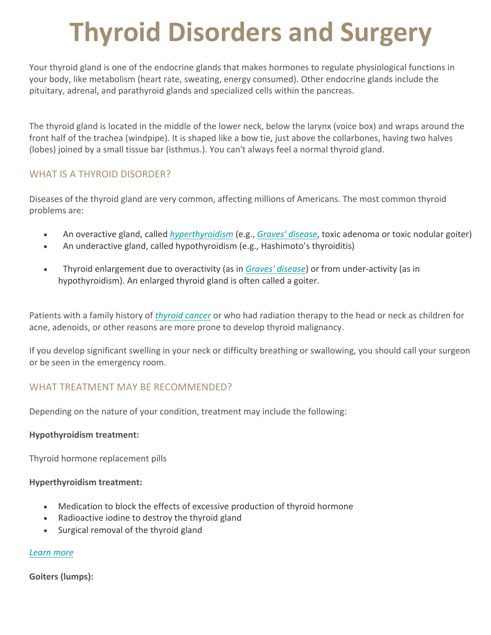# **Thyroid Disorders and Surgery**

Your thyroid gland is one of the endocrine glands that makes hormones to regulate physiological functions in your body, like metabolism (heart rate, sweating, energy consumed). Other endocrine glands include the pituitary, adrenal, and parathyroid glands and specialized cells within the pancreas.

The thyroid gland is located in the middle of the lower neck, below the larynx (voice box) and wraps around the front half of the trachea (windpipe). It is shaped like a bow tie, just above the collarbones, having two halves (lobes) joined by a small tissue bar (isthmus.). You can't always feel a normal thyroid gland.

## WHAT IS A THYROID DISORDER?

Diseases of the thyroid gland are very common, affecting millions of Americans. The most common thyroid problems are:

- An overactive gland, called *hyperthyroidism* (e.g., *Graves' disease*, toxic adenoma or toxic nodular goiter)
- An underactive gland, called hypothyroidism (e.g., Hashimoto's thyroiditis)
- Thyroid enlargement due to overactivity (as in *Graves' disease*) or from under-activity (as in hypothyroidism). An enlarged thyroid gland is often called a goiter.

Patients with a family history of *thyroid cancer* or who had radiation therapy to the head or neck as children for acne, adenoids, or other reasons are more prone to develop thyroid malignancy.

If you develop significant swelling in your neck or difficulty breathing or swallowing, you should call your surgeon or be seen in the emergency room.

## WHAT TREATMENT MAY BE RECOMMENDED?

Depending on the nature of your condition, treatment may include the following:

#### **Hypothyroidism treatment:**

Thyroid hormone replacement pills

#### **Hyperthyroidism treatment:**

- Medication to block the effects of excessive production of thyroid hormone
- Radioactive iodine to destroy the thyroid gland
- Surgical removal of the thyroid gland

## *Learn more*

## **Goiters (lumps):**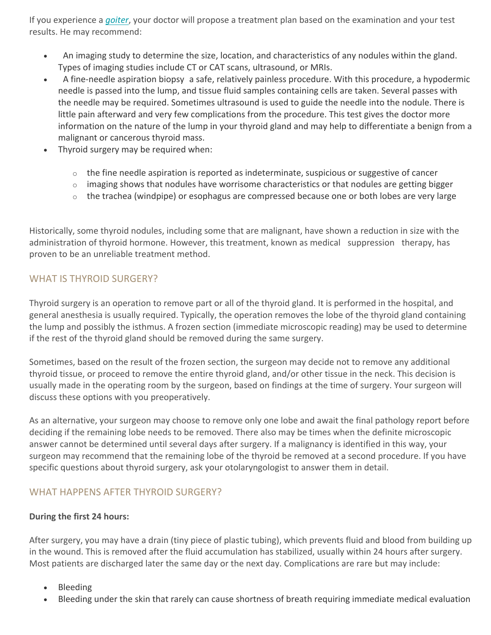If you experience a *goiter*, your doctor will propose a treatment plan based on the examination and your test results. He may recommend:

- An imaging study to determine the size, location, and characteristics of any nodules within the gland. Types of imaging studies include CT or CAT scans, ultrasound, or MRIs.
- A fine-needle aspiration biopsy a safe, relatively painless procedure. With this procedure, a hypodermic needle is passed into the lump, and tissue fluid samples containing cells are taken. Several passes with the needle may be required. Sometimes ultrasound is used to guide the needle into the nodule. There is little pain afterward and very few complications from the procedure. This test gives the doctor more information on the nature of the lump in your thyroid gland and may help to differentiate a benign from a malignant or cancerous thyroid mass.
- Thyroid surgery may be required when:
	- $\circ$  the fine needle aspiration is reported as indeterminate, suspicious or suggestive of cancer
	- $\circ$  imaging shows that nodules have worrisome characteristics or that nodules are getting bigger
	- $\circ$  the trachea (windpipe) or esophagus are compressed because one or both lobes are very large

Historically, some thyroid nodules, including some that are malignant, have shown a reduction in size with the administration of thyroid hormone. However, this treatment, known as medical suppression therapy, has proven to be an unreliable treatment method.

## WHAT IS THYROID SURGERY?

Thyroid surgery is an operation to remove part or all of the thyroid gland. It is performed in the hospital, and general anesthesia is usually required. Typically, the operation removes the lobe of the thyroid gland containing the lump and possibly the isthmus. A frozen section (immediate microscopic reading) may be used to determine if the rest of the thyroid gland should be removed during the same surgery.

Sometimes, based on the result of the frozen section, the surgeon may decide not to remove any additional thyroid tissue, or proceed to remove the entire thyroid gland, and/or other tissue in the neck. This decision is usually made in the operating room by the surgeon, based on findings at the time of surgery. Your surgeon will discuss these options with you preoperatively.

As an alternative, your surgeon may choose to remove only one lobe and await the final pathology report before deciding if the remaining lobe needs to be removed. There also may be times when the definite microscopic answer cannot be determined until several days after surgery. If a malignancy is identified in this way, your surgeon may recommend that the remaining lobe of the thyroid be removed at a second procedure. If you have specific questions about thyroid surgery, ask your otolaryngologist to answer them in detail.

## WHAT HAPPENS AFTER THYROID SURGERY?

#### **During the first 24 hours:**

After surgery, you may have a drain (tiny piece of plastic tubing), which prevents fluid and blood from building up in the wound. This is removed after the fluid accumulation has stabilized, usually within 24 hours after surgery. Most patients are discharged later the same day or the next day. Complications are rare but may include:

- Bleeding
- Bleeding under the skin that rarely can cause shortness of breath requiring immediate medical evaluation